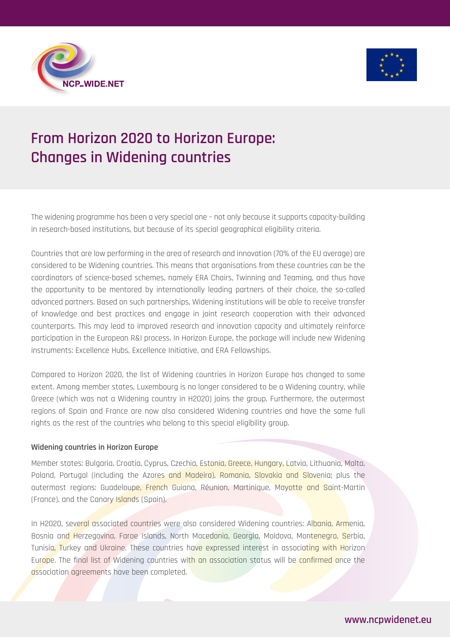



# **From Horizon 2020 to Horizon Europe: Changes in Widening countries**

The widening programme has been a very special one – not only because it supports capacity-building in research-based institutions, but because of its special geographical eligibility criteria.

Countries that are low performing in the area of research and innovation (70% of the EU average) are considered to be Widening countries. This means that organisations from these countries can be the coordinators of science-based schemes, namely ERA Chairs, Twinning and Teaming, and thus have the opportunity to be mentored by internationally leading partners of their choice, the so-called advanced partners. Based on such partnerships, Widening institutions will be able to receive transfer of knowledge and best practices and engage in joint research cooperation with their advanced counterparts. This may lead to improved research and innovation capacity and ultimately reinforce participation in the European R&I process. In Horizon Europe, the package will include new Widening instruments: Excellence Hubs, Excellence Initiative, and ERA Fellowships.

Compared to Horizon 2020, the list of Widening countries in Horizon Europe has changed to some extent. Among member states, Luxembourg is no longer considered to be a Widening country, while Greece (which was not a Widening country in H2020) joins the group. Furthermore, the outermost regions of Spain and France are now also considered Widening countries and have the same full rights as the rest of the countries who belong to this special eligibility group.

### **Widening countries in Horizon Europe**

Member states: Bulgaria, Croatia, Cyprus, Czechia, Estonia, Greece, Hungary, Latvia, Lithuania, Malta, Poland, Portugal (including the Azores and Madeira), Romania, Slovakia and Slovenia; plus the outermost regions: Guadeloupe, French Guiana, Réunion, Martinique, Mayotte and Saint-Martin (France), and the Canary Islands (Spain).

In H2020, several associated countries were also considered Widening countries: Albania, Armenia, Bosnia and Herzegovina, Faroe Islands, North Macedonia, Georgia, Moldova, Montenegro, Serbia, Tunisia, Turkey and Ukraine. These countries have expressed interest in associating with Horizon Europe. The final list of Widening countries with an association status will be confirmed once the association agreements have been completed.

# **www.ncpwidenet.eu**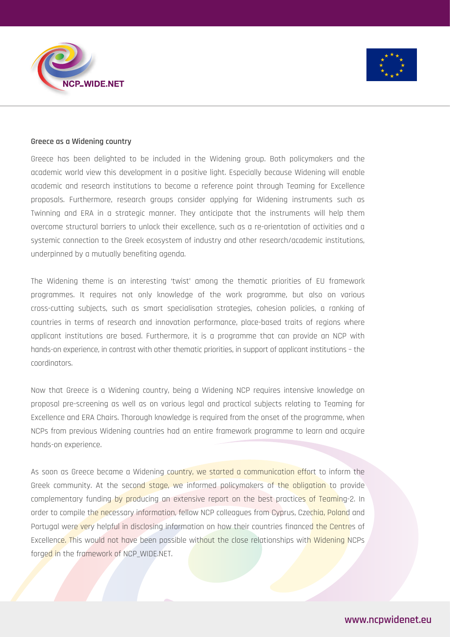



#### **Greece as a Widening country**

Greece has been delighted to be included in the Widening group. Both policymakers and the academic world view this development in a positive light. Especially because Widening will enable academic and research institutions to become a reference point through Teaming for Excellence proposals. Furthermore, research groups consider applying for Widening instruments such as Twinning and ERA in a strategic manner. They anticipate that the instruments will help them overcome structural barriers to unlock their excellence, such as a re-orientation of activities and a systemic connection to the Greek ecosystem of industry and other research/academic institutions, underpinned by a mutually benefiting agenda.

The Widening theme is an interesting 'twist' among the thematic priorities of EU framework programmes. It requires not only knowledge of the work programme, but also on various cross-cutting subjects, such as smart specialisation strategies, cohesion policies, a ranking of countries in terms of research and innovation performance, place-based traits of regions where applicant institutions are based. Furthermore, it is a programme that can provide an NCP with hands-on experience, in contrast with other thematic priorities, in support of applicant institutions – the coordinators.

Now that Greece is a Widening country, being a Widening NCP requires intensive knowledge on proposal pre-screening as well as on various legal and practical subjects relating to Teaming for Excellence and ERA Chairs. Thorough knowledge is required from the onset of the programme, when NCPs from previous Widening countries had an entire framework programme to learn and acquire hands-on experience.

As soon as Greece became a Widening country, we started a communication effort to inform the Greek community. At the second stage, we informed policymakers of the obligation to provide complementary funding by producing an extensive report on the best practices of Teaming-2. In order to compile the necessary information, fellow NCP colleagues from Cyprus, Czechia, Poland and Portugal were very helpful in disclosing information on how their countries financed the Centres of Excellence. This would not have been possible without the close relationships with Widening NCPs forged in the framework of NCP WIDE.NET.

# **www.ncpwidenet.eu**